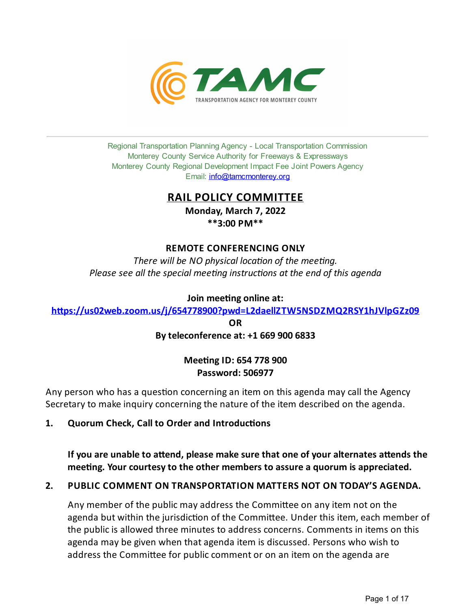

Regional Transportation Planning Agency - Local Transportation Commission Monterey County Service Authority for Freeways & Expressways Monterey County Regional Development Impact Fee Joint Powers Agency Email: *[info@tamcmonterey.org](file:///C:/Windows/TEMP/info@tamcmonterey.org)* 

# **RAIL POLICY COMMITTEE**

**Monday, March 7, 2022 \*\*3:00 PM\*\***

# **REMOTE CONFERENCING ONLY**

*There* will be NO physical location of the meeting. *Please see* all the *special* meeting *instructions* at the end of this agenda

### **Join** meeting online at:

**[h'ps://us02web.zoom.us/j/654778900?pwd=L2daellZTW5NSDZMQ2RSY1hJVlpGZz09](https://us02web.zoom.us/j/654778900?pwd=L2daellZTW5NSDZMQ2RSY1hJVlpGZz09)**

**OR Byteleconference at: +1 669 900 6833**

# **Mee#ngID: 654 778 900 Password: 506977**

Any person who has a question concerning an item on this agenda may call the Agency Secretary to make inquiry concerning the nature of the item described on the agenda.

# 1. **Quorum Check, Call to Order and Introductions**

**Ifyou are unable to a'end, please make sure that one ofyour alternates a'ends the mee#ng. Your courtesyto the other members to assure a quorum is appreciated.**

# **2. PUBLIC COMMENT ON TRANSPORTATION MATTERS NOT ON TODAY'S AGENDA.**

Any member of the public may address the Committee on any item not on the agenda but within the jurisdiction of the Committee. Under this item, each member of the public is allowed three minutes to address concerns. Comments in items on this agenda may be given when that agenda item is discussed. Persons who wish to address the Committee for public comment or on an item on the agenda are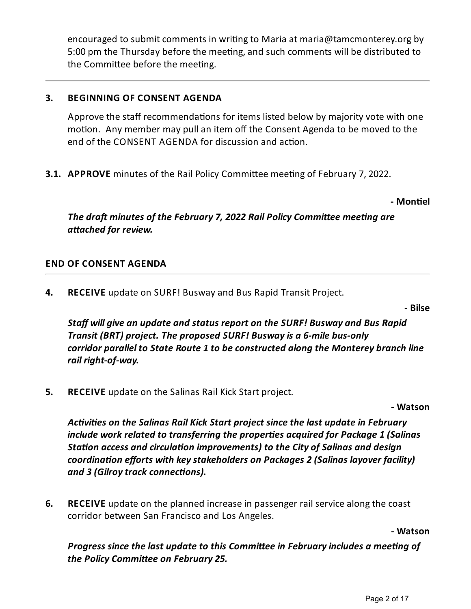encouraged to submit comments in writing to Maria at maria@tamcmonterey.org by 5:00 pm the Thursday before the meeting, and such comments will be distributed to the Committee before the meeting.

# **3. BEGINNING OF CONSENT AGENDA**

Approve the staff recommendations for items listed below by majority vote with one motion. Any member may pull an item off the Consent Agenda to be moved to the end of the CONSENT AGENDA for discussion and action.

**3.1. APPROVE** minutes of the Rail Policy Committee meeting of February 7, 2022.

**- Mon#el**

*The draft minutes of the February 7, 2022 Rail Policy Committee meeting are*  $a$ *ttached for review.* 

# **END OF CONSENT AGENDA**

**4. RECEIVE** update on SURF! Buswayand Bus Rapid Transit Project.

**- Bilse**

*Staff will give an update and status report on the SURF! Busway and Bus Rapid Transit (BRT) project. The proposed SURF! Buswayis a 6-mile bus-only corridor parallel to State Route 1 to beconstructed along the Monterey branch line rail right-of-way.*

**5. RECEIVE** update on the Salinas Rail Kick Start project.

**- Watson**

*Acvies on the Salinas Rail Kick Start project sincethelast updatein February include work related to transferring the properes acquired for Package 1 (Salinas Station access and circulation improvements) to the City of Salinas and design coordinaon efforts with keystakeholders on Packages 2 (Salinas layover facility)* **and 3 (Gilroy track connections).** 

**6. RECEIVE** update on the planned increase in passenger rail service along the coast corridor between San Francisco and Los Angeles.

**- Watson**

*Progress since the last update to this Committee in February includes a meeting of the Policy Commiee on February 25.*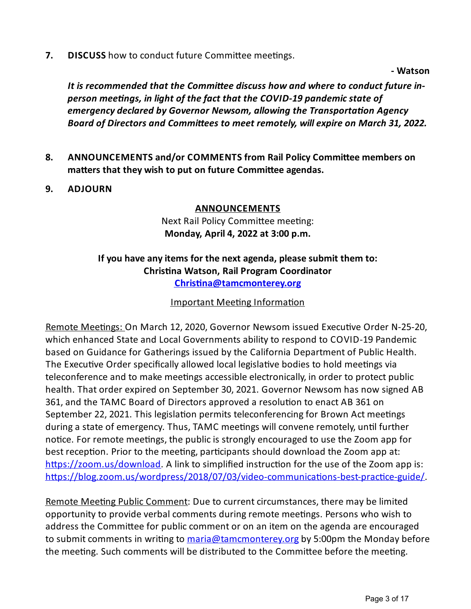**7. DISCUSS** how to conduct future Committee meetings.

**- Watson**

*It* is recommended that the Committee discuss how and where to conduct future in*person meengs, in light of thefact that the COVID-19 pandemic state of emergency declared by Governor Newsom, allowing the Transportaon Agency Board* of Directors and Committees to meet remotely, will expire on March 31, 2022.

- **8. ANNOUNCEMENTS and/or COMMENTS from Rail Policy Commi'ee members on matters** that they wish to put on future Committee agendas.
- **9. ADJOURN**

# **ANNOUNCEMENTS**

Next Rail Policy Committee meeting: **Monday, April 4, 2022 at 3:00 p.m.**

# **Ifyou have anyitems for the next agenda, please submit them to: Chris#na Watson, Rail Program Coordinator [Chris#na@tamcmonterey.org](mailto:Christina@tamcmonterey.org)**

Important Meeting Information

Remote Meetings: On March 12, 2020, Governor Newsom issued Executive Order N-25-20, which enhanced State and Local Governments ability to respond to COVID-19 Pandemic based on Guidance for Gatherings issued by the California Department of Public Health. The Executive Order specifically allowed local legislative bodies to hold meetings via teleconference and to make meetings accessible electronically, in order to protect public health. That order expired on September 30, 2021. Governor Newsom has now signed AB 361, and the TAMC Board of Directors approved a resolution to enact AB 361 on September 22, 2021. This legislation permits teleconferencing for Brown Act meetings during a state of emergency. Thus, TAMC meetings will convene remotely, until further notice. For remote meetings, the public is strongly encouraged to use the Zoom app for best reception. Prior to the meeting, participants should download the Zoom app at:  $\frac{https://zoom.us/download. A link to simplified instruction for the use of the Zoom app is:$ https://blog.zoom.us/wordpress/2018/07/03/video-communications-best-practice-guide/

Remote Meeting Public Comment: Due to current circumstances, there may be limited opportunity to provide verbal comments during remote meetings. Persons who wish to address the Committee for public comment or on an item on the agenda are encouraged to submit comments in writing to [maria@tamcmonterey.org](mailto:maria@tamcmonterey.org) by 5:00pm the Monday before the meeting. Such comments will be distributed to the Committee before the meeting.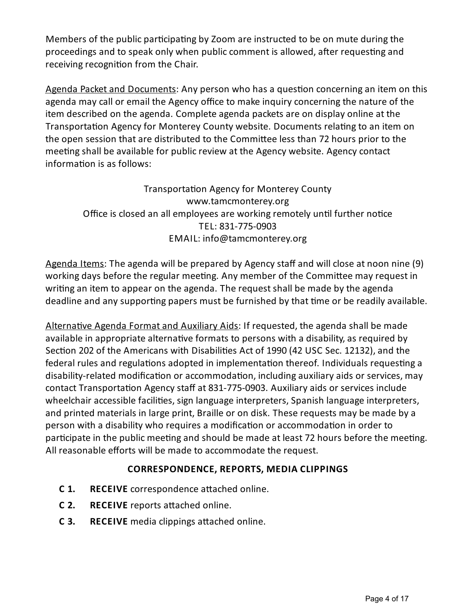Members of the public participating by Zoom are instructed to be on mute during the proceedings and to speak only when public comment is allowed, after requesting and receiving recognition from the Chair.

Agenda Packet and Documents: Any person who has a question concerning an item on this agenda may call or email the Agency office to make inquiry concerning the nature of the item described on the agenda. Complete agenda packets are on display online at the Transportation Agency for Monterey County website. Documents relating to an item on the open session that are distributed to the Committee less than 72 hours prior to the meeting shall be available for public review at the Agency website. Agency contact information is as follows:

Transportation Agency for Monterey County www.tamcmonterey.org Office is closed an all employees are working remotely until further notice TEL: 831-775-0903 EMAIL: info@tamcmonterey.org

Agenda Items: The agenda will be prepared by Agency staff and will close at noon nine (9) working days before the regular meeting. Any member of the Committee may request in writing an item to appear on the agenda. The request shall be made by the agenda deadline and any supporting papers must be furnished by that time or be readily available.

Alternative Agenda Format and Auxiliary Aids: If requested, the agenda shall be made available in appropriate alternative formats to persons with a disability, as required by Section 202 of the Americans with Disabilities Act of 1990 (42 USC Sec. 12132), and the federal rules and regulations adopted in implementation thereof. Individuals requesting a disability-related modification or accommodation, including auxiliary aids or services, may contact Transportation Agency staff at 831-775-0903. Auxiliary aids or services include wheelchair accessible facilities, sign language interpreters, Spanish language interpreters, and printed materials in large print, Braille or on disk. These requests may be made bya person with a disability who requires a modification or accommodation in order to participate in the public meeting and should be made at least 72 hours before the meeting. All reasonable efforts will be made to accommodate the request.

# **CORRESPONDENCE, REPORTS, MEDIA CLIPPINGS**

- **C** 1. **RECEIVE** correspondence attached online.
- **C 2. RECEIVE** reports attached online.
- **C 3. RECEIVE** media clippings attached online.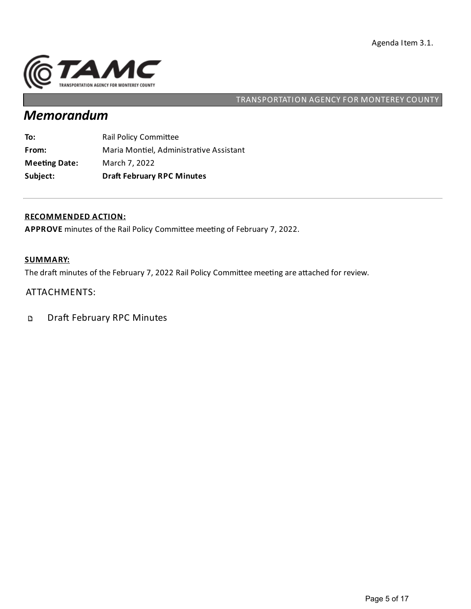

# *Memorandum*

| Subject:             | <b>Draft February RPC Minutes</b>       |
|----------------------|-----------------------------------------|
| <b>Meeting Date:</b> | March 7, 2022                           |
| From:                | Maria Montiel, Administrative Assistant |
| To:                  | Rail Policy Committee                   |

#### **RECOMMENDED ACTION:**

APPROVE minutes of the Rail Policy Committee meeting of February 7, 2022.

### **SUMMARY:**

The draft minutes of the February 7, 2022 Rail Policy Committee meeting are attached for review.

### ATTACHMENTS:

Draft February RPC Minutes  $\mathbf D$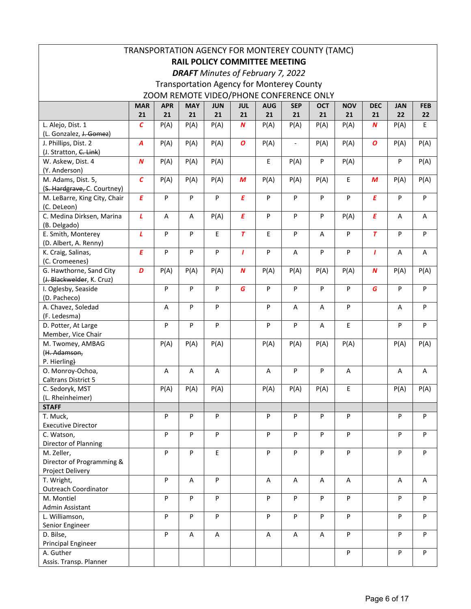|                                                   |                  |            |            |            |                  |                                          | TRANSPORTATION AGENCY FOR MONTEREY COUNTY (TAMC) |            |            |                  |            |            |
|---------------------------------------------------|------------------|------------|------------|------------|------------------|------------------------------------------|--------------------------------------------------|------------|------------|------------------|------------|------------|
|                                                   |                  |            |            |            |                  | <b>RAIL POLICY COMMITTEE MEETING</b>     |                                                  |            |            |                  |            |            |
|                                                   |                  |            |            |            |                  |                                          |                                                  |            |            |                  |            |            |
|                                                   |                  |            |            |            |                  | <b>DRAFT</b> Minutes of February 7, 2022 |                                                  |            |            |                  |            |            |
|                                                   |                  |            |            |            |                  |                                          | <b>Transportation Agency for Monterey County</b> |            |            |                  |            |            |
|                                                   |                  |            |            |            |                  |                                          | ZOOM REMOTE VIDEO/PHONE CONFERENCE ONLY          |            |            |                  |            |            |
|                                                   | <b>MAR</b>       | <b>APR</b> | <b>MAY</b> | <b>JUN</b> | <b>JUL</b>       | <b>AUG</b>                               | <b>SEP</b>                                       | <b>OCT</b> | <b>NOV</b> | <b>DEC</b>       | <b>JAN</b> | <b>FEB</b> |
|                                                   | 21               | 21         | 21         | 21         | 21               | 21                                       | 21                                               | 21         | 21         | 21               | 22         | 22         |
| L. Alejo, Dist. 1                                 | $\mathcal{C}$    | P(A)       | P(A)       | P(A)       | $\boldsymbol{N}$ | P(A)                                     | P(A)                                             | P(A)       | P(A)       | $\boldsymbol{N}$ | P(A)       | E          |
| (L. Gonzalez, J. Gomez)                           |                  |            |            |            |                  |                                          |                                                  |            |            |                  |            |            |
| J. Phillips, Dist. 2                              | Α                | P(A)       | P(A)       | P(A)       | $\boldsymbol{o}$ | P(A)                                     | $\overline{\phantom{a}}$                         | P(A)       | P(A)       | O                | P(A)       | P(A)       |
| (J. Stratton, C. Link)                            |                  |            |            |            |                  |                                          |                                                  |            |            |                  |            |            |
| W. Askew, Dist. 4                                 | $\boldsymbol{N}$ | P(A)       | P(A)       | P(A)       |                  | E                                        | P(A)                                             | P          | P(A)       |                  | P          | P(A)       |
| (Y. Anderson)                                     |                  |            |            |            |                  |                                          |                                                  |            |            |                  |            |            |
| M. Adams, Dist. 5,<br>(S. Hardgrave, C. Courtney) | $\epsilon$       | P(A)       | P(A)       | P(A)       | M                | P(A)                                     | P(A)                                             | P(A)       | E          | М                | P(A)       | P(A)       |
| M. LeBarre, King City, Chair                      | E                | P          | P          | P          | Ε                | P                                        | P                                                | P          | P          | Ε                | P          | P          |
| (C. DeLeon)                                       |                  |            |            |            |                  |                                          |                                                  |            |            |                  |            |            |
| C. Medina Dirksen, Marina                         | L                | Α          | A          | P(A)       | $\pmb{E}$        | P                                        | P                                                | P          | P(A)       | E                | Α          | Α          |
| (B. Delgado)                                      |                  |            |            |            |                  |                                          |                                                  |            |            |                  |            |            |
| E. Smith, Monterey                                | L                | P          | P          | E          | $\tau$           | E                                        | P                                                | Α          | P          | $\tau$           | P          | P          |
| (D. Albert, A. Renny)                             |                  |            |            |            |                  |                                          |                                                  |            |            |                  |            |            |
| K. Craig, Salinas,                                | E                | P          | P          | ${\sf P}$  | $\mathbf{I}$     | P                                        | Α                                                | P          | P          | T                | Α          | Α          |
| (C. Cromeenes)                                    |                  |            |            |            |                  |                                          |                                                  |            |            |                  |            |            |
| G. Hawthorne, Sand City                           | D                | P(A)       | P(A)       | P(A)       | $\boldsymbol{N}$ | P(A)                                     | P(A)                                             | P(A)       | P(A)       | N                | P(A)       | P(A)       |
| (J. Blackwelder, K. Cruz)                         |                  |            |            |            |                  |                                          |                                                  |            |            |                  |            |            |
| I. Oglesby, Seaside                               |                  | P          | P          | P          | G                | P                                        | P                                                | P          | P          | G                | P          | P          |
| (D. Pacheco)                                      |                  |            |            |            |                  |                                          |                                                  |            |            |                  |            |            |
| A. Chavez, Soledad                                |                  | A          | ${\sf P}$  | P          |                  | P                                        | A                                                | A          | P          |                  | A          | P          |
| (F. Ledesma)                                      |                  |            |            |            |                  |                                          |                                                  |            |            |                  |            |            |
| D. Potter, At Large                               |                  | P          | P          | P          |                  | P                                        | P                                                | Α          | E          |                  | P          | P          |
| Member, Vice Chair                                |                  |            |            |            |                  |                                          |                                                  |            |            |                  |            |            |
| M. Twomey, AMBAG                                  |                  | P(A)       | P(A)       | P(A)       |                  | P(A)                                     | P(A)                                             | P(A)       | P(A)       |                  | P(A)       | P(A)       |
| (H. Adamson,<br>P. Hierling)                      |                  |            |            |            |                  |                                          |                                                  |            |            |                  |            |            |
| O. Monroy-Ochoa,                                  |                  | Α          | A          | Α          |                  | A                                        | P                                                | P          | А          |                  | Α          | Α          |
| <b>Caltrans District 5</b>                        |                  |            |            |            |                  |                                          |                                                  |            |            |                  |            |            |
| C. Sedoryk, MST                                   |                  | P(A)       | P(A)       | P(A)       |                  | P(A)                                     | P(A)                                             | P(A)       | Ε          |                  | P(A)       | P(A)       |
| (L. Rheinheimer)                                  |                  |            |            |            |                  |                                          |                                                  |            |            |                  |            |            |
| <b>STAFF</b>                                      |                  |            |            |            |                  |                                          |                                                  |            |            |                  |            |            |
| T. Muck,                                          |                  | P          | ${\sf P}$  | ${\sf P}$  |                  | P                                        | P                                                | P          | P          |                  | P          | P          |
| <b>Executive Director</b>                         |                  |            |            |            |                  |                                          |                                                  |            |            |                  |            |            |
| C. Watson,                                        |                  | P          | P          | P          |                  | P                                        | P                                                | P          | P          |                  | P          | P          |
| Director of Planning                              |                  |            |            |            |                  |                                          |                                                  |            |            |                  |            |            |
| M. Zeller,                                        |                  | P          | P          | E          |                  | P                                        | P                                                | P          | P          |                  | P          | P          |
| Director of Programming &                         |                  |            |            |            |                  |                                          |                                                  |            |            |                  |            |            |
| Project Delivery                                  |                  |            |            |            |                  |                                          |                                                  |            |            |                  |            |            |
| T. Wright,                                        |                  | P          | A          | P          |                  | Α                                        | A                                                | Α          | Α          |                  | Α          | Α          |
| <b>Outreach Coordinator</b>                       |                  |            |            |            |                  |                                          |                                                  |            |            |                  |            |            |
| M. Montiel                                        |                  | P          | P          | P          |                  | P                                        | P                                                | P          | P          |                  | P          | P          |
| Admin Assistant                                   |                  | P          | P          | ${\sf P}$  |                  | P                                        |                                                  |            | P          |                  |            | P          |
| L. Williamson,<br>Senior Engineer                 |                  |            |            |            |                  |                                          | P                                                | P          |            |                  | P          |            |
| D. Bilse,                                         |                  | P          | A          | Α          |                  | Α                                        | A                                                | Α          | P          |                  | P          | P          |
| <b>Principal Engineer</b>                         |                  |            |            |            |                  |                                          |                                                  |            |            |                  |            |            |
| A. Guther                                         |                  |            |            |            |                  |                                          |                                                  |            | P          |                  | P          | P          |
| Assis. Transp. Planner                            |                  |            |            |            |                  |                                          |                                                  |            |            |                  |            |            |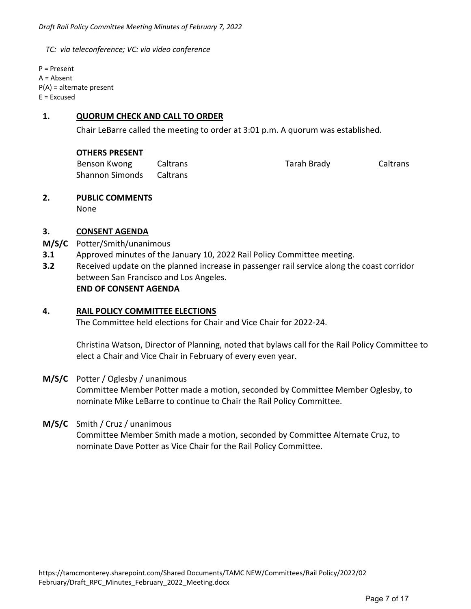*TC: via teleconference; VC: via video conference* 

P = Present A = Absent P(A) = alternate present E = Excused

#### **1. QUORUM CHECK AND CALL TO ORDER**

Chair LeBarre called the meeting to order at 3:01 p.m. A quorum was established.

| Benson Kwong                    | Caltrans | Tarah Brady | Caltrans |
|---------------------------------|----------|-------------|----------|
| <b>Shannon Simonds</b> Caltrans |          |             |          |

# **2. PUBLIC COMMENTS**

None

#### **3. CONSENT AGENDA**

- **M/S/C**  Potter/Smith/unanimous
- **3.1**  Approved minutes of the January 10, 2022 Rail Policy Committee meeting.
- **3.2**  Received update on the planned increase in passenger rail service along the coast corridor between San Francisco and Los Angeles.  **END OF CONSENT AGENDA**

#### **4. RAIL POLICY COMMITTEE ELECTIONS**

The Committee held elections for Chair and Vice Chair for 2022‐24.

Christina Watson, Director of Planning, noted that bylaws call for the Rail Policy Committee to elect a Chair and Vice Chair in February of every even year.

### **M/S/C**  Potter / Oglesby / unanimous

Committee Member Potter made a motion, seconded by Committee Member Oglesby, to nominate Mike LeBarre to continue to Chair the Rail Policy Committee.

#### **M/S/C** Smith / Cruz / unanimous

Committee Member Smith made a motion, seconded by Committee Alternate Cruz, to nominate Dave Potter as Vice Chair for the Rail Policy Committee.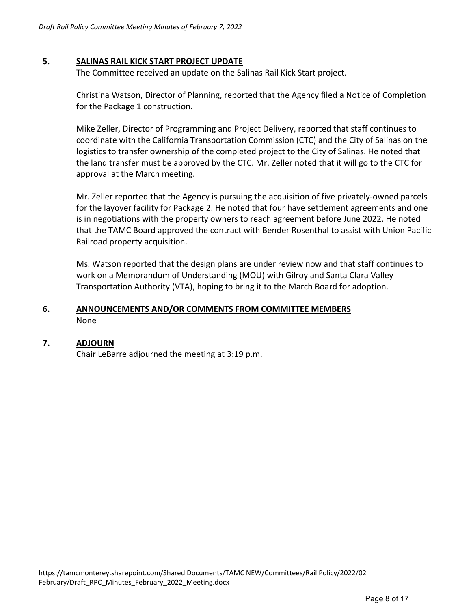#### **5. SALINAS RAIL KICK START PROJECT UPDATE**

The Committee received an update on the Salinas Rail Kick Start project.

Christina Watson, Director of Planning, reported that the Agency filed a Notice of Completion for the Package 1 construction.

Mike Zeller, Director of Programming and Project Delivery, reported that staff continues to coordinate with the California Transportation Commission (CTC) and the City of Salinas on the logistics to transfer ownership of the completed project to the City of Salinas. He noted that the land transfer must be approved by the CTC. Mr. Zeller noted that it will go to the CTC for approval at the March meeting.

Mr. Zeller reported that the Agency is pursuing the acquisition of five privately‐owned parcels for the layover facility for Package 2. He noted that four have settlement agreements and one is in negotiations with the property owners to reach agreement before June 2022. He noted that the TAMC Board approved the contract with Bender Rosenthal to assist with Union Pacific Railroad property acquisition.

Ms. Watson reported that the design plans are under review now and that staff continues to work on a Memorandum of Understanding (MOU) with Gilroy and Santa Clara Valley Transportation Authority (VTA), hoping to bring it to the March Board for adoption.

### **6. ANNOUNCEMENTS AND/OR COMMENTS FROM COMMITTEE MEMBERS**  None

#### **7. ADJOURN**

Chair LeBarre adjourned the meeting at 3:19 p.m.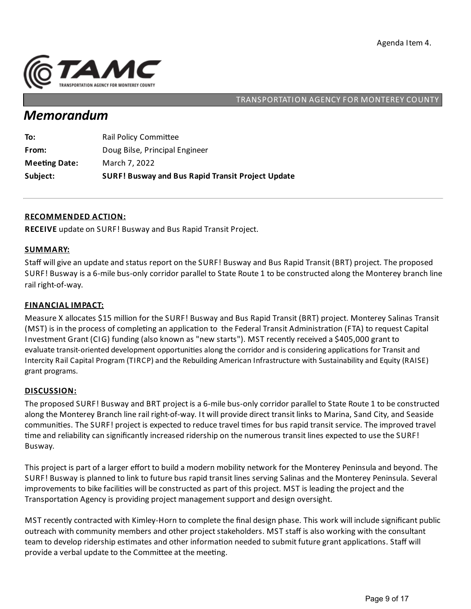

# *Memorandum*

| Subject:             | <b>SURF! Busway and Bus Rapid Transit Project Update</b> |
|----------------------|----------------------------------------------------------|
| <b>Meeting Date:</b> | March 7, 2022                                            |
| From:                | Doug Bilse, Principal Engineer                           |
| To:                  | <b>Rail Policy Committee</b>                             |

#### **RECOMMENDED ACTION:**

**RECEIVE** update on SURF! Busway and Bus Rapid Transit Project.

#### **SUMMARY:**

Staff willgive an update and status report on the SURF! Busway and Bus Rapid Transit (BRT) project. The proposed SURF! Busway is a 6-mile bus-only corridor parallel to State Route 1 to be constructed along the Monterey branch line rail right-of-way.

#### **FINANCIAL IMPACT:**

Measure X allocates \$15 million for the SURF! Busway and Bus Rapid Transit (BRT) project. Monterey Salinas Transit (MST) is in the process of completing an application to the Federal Transit Administration (FTA) to request Capital Investment Grant (CIG) funding (also known as "new starts"). MST recently received a \$405,000 grant to evaluate transit-oriented development opportunities along the corridor and is considering applications for Transit and Intercity Rail Capital Program (TIRCP) and the Rebuilding American Infrastructure with Sustainability and Equity (RAISE) grant programs.

#### **DISCUSSION:**

The proposed SURF! Busway and BRT project is a 6-mile bus-only corridor parallel to State Route 1 to be constructed along the Monterey Branch line rail right-of-way. It will provide direct transit links to Marina, Sand City, and Seaside communities. The SURF! project is expected to reduce travel times for bus rapid transit service. The improved travel time and reliability can significantly increased ridership on the numerous transit lines expected to use the SURF! Busway.

This project is part of a larger effort to build a modern mobility network for the Monterey Peninsula and beyond. The SURF! Busway is planned to link to future bus rapid transit lines serving Salinas and the Monterey Peninsula. Several improvements to bike facilities will be constructed as part of this project. MST is leading the project and the Transportation Agency is providing project management support and design oversight.

MSTrecently contracted with Kimley-Horn to complete the final design phase. This work will include significant public outreach with community members and other project stakeholders. MST staff is also working with the consultant team to develop ridership estimates and other information needed to submit future grant applications. Staff will provide a verbal update to the Committee at the meeting.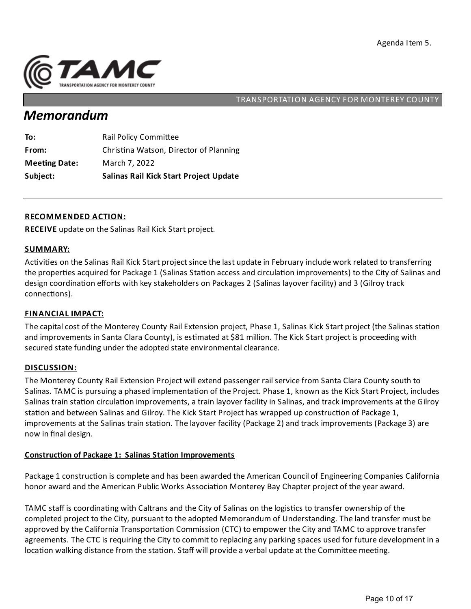

# *Memorandum*

| Subject:             | <b>Salinas Rail Kick Start Project Update</b> |
|----------------------|-----------------------------------------------|
| <b>Meeting Date:</b> | March 7, 2022                                 |
| From:                | Christina Watson, Director of Planning        |
| To:                  | <b>Rail Policy Committee</b>                  |

#### **RECOMMENDED ACTION:**

**RECEIVE** update on the Salinas Rail Kick Start project.

#### **SUMMARY:**

Activities on the Salinas Rail Kick Start project since the last update in February include work related to transferring the properties acquired for Package 1 (Salinas Station access and circulation improvements) to the City of Salinas and design coordination efforts with key stakeholders on Packages 2 (Salinas layover facility) and 3 (Gilroy track connections).

#### **FINANCIAL IMPACT:**

The capital cost of the Monterey County Rail Extension project, Phase 1, Salinas Kick Start project (the Salinas station and improvements in Santa Clara County), is estimated at \$81 million. The Kick Start project is proceeding with secured state funding under the adopted state environmental clearance.

#### **DISCUSSION:**

The Monterey County Rail Extension Project will extend passenger rail service from Santa Clara County south to Salinas. TAMC is pursuing a phased implementation of the Project. Phase 1, known as the Kick Start Project, includes Salinas train station circulation improvements, a train layover facility in Salinas, and track improvements at the Gilroy station and between Salinas and Gilroy. The Kick Start Project has wrapped up construction of Package 1, improvements at the Salinas train station. The layover facility (Package 2) and track improvements (Package 3) are now in final design.

### **Construction of Package 1: Salinas Station Improvements**

Package 1 construction is complete and has been awarded the American Council of Engineering Companies California honor award and the American Public Works Association Monterey Bay Chapter project of the year award.

TAMC staff is coordinating with Caltrans and the City of Salinas on the logistics to transfer ownership of the completed project to the City, pursuant to the adopted Memorandum of Understanding. The land transfer must be approved by the California Transportation Commission (CTC) to empower the City and TAMC to approve transfer agreements. The CTC is requiring the City to commit to replacing any parking spaces used for future development in a location walking distance from the station. Staff will provide a verbal update at the Committee meeting.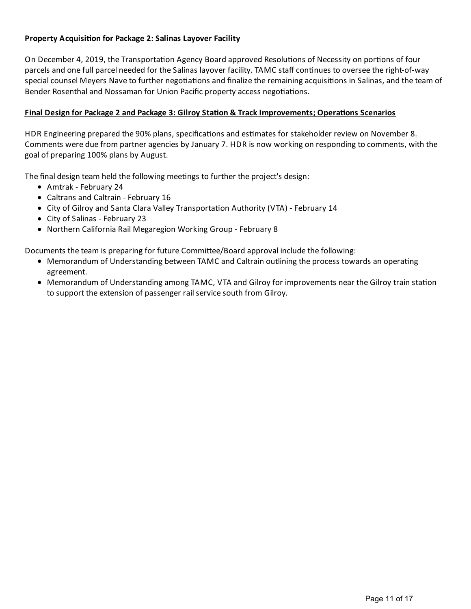# **Property Acquisi on for Package 2:Salinas Layover Facility**

On December 4, 2019, the Transportation Agency Board approved Resolutions of Necessity on portions of four parcels and one full parcel needed for the Salinas layover facility. TAMC staff continues to oversee the right-of-way special counsel Meyers Nave to further negotiations and finalize the remaining acquisitions in Salinas, and the team of Bender Rosenthal and Nossaman for Union Pacific property access negotiations.

# **Final Design for Package 2 and Package 3: Gilroy Sta on & TrackImprovements; Opera ons Scenarios**

HDR Engineering prepared the 90% plans, specifications and estimates for stakeholder review on November 8. Comments were due from partner agencies by January 7. HDR is now working on respondingto comments, with the goal of preparing 100% plans by August.

The final design team held the following meetings to further the project's design:

- Amtrak February 24
- Caltrans and Caltrain February 16
- City of Gilroy and Santa Clara Valley Transportation Authority (VTA) February 14
- City of Salinas February 23
- Northern California Rail Megaregion Working Group February 8

Documents the team is preparing for future Committee/Board approval include the following:

- Memorandum of Understanding between TAMC and Caltrain outlining the process towards an operating agreement.
- Memorandum of Understanding among TAMC, VTA and Gilroy for improvements near the Gilroy train station to support the extension of passenger rail service south from Gilroy.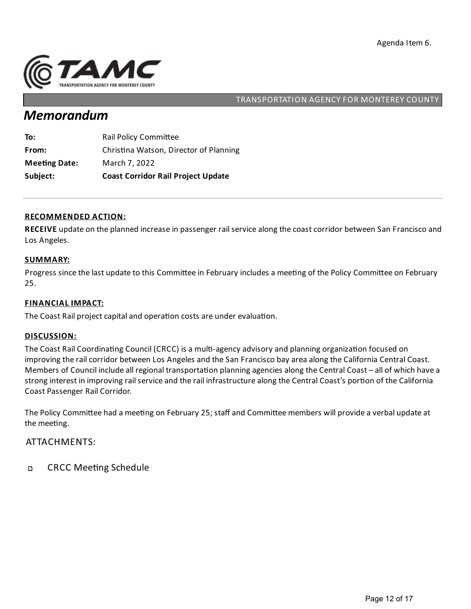

# *Memorandum*

| Subject:             | <b>Coast Corridor Rail Project Update</b> |
|----------------------|-------------------------------------------|
| <b>Meeting Date:</b> | March 7, 2022                             |
| From:                | Christina Watson, Director of Planning    |
| To:                  | <b>Rail Policy Committee</b>              |

#### **RECOMMENDED ACTION:**

RECEIVE update on the planned increase in passenger rail service along the coast corridor between San Francisco and Los Angeles.

#### **SUMMARY:**

Progress since the last update to this Committee in February includes a meeting of the Policy Committee on February 25.

#### **FINANCIAL IMPACT:**

The Coast Rail project capital and operation costs are under evaluation.

#### **DISCUSSION:**

The Coast Rail Coordinating Council (CRCC) is a multi-agency advisory and planning organization focused on improving the rail corridor between Los Angeles and the San Francisco bay area along the California Central Coast. Members of Council include all regional transportation planning agencies along the Central Coast – all of which have a strong interest in improving rail service and the rail infrastructure along the Central Coast's portion of the California Coast Passenger Rail Corridor.

The Policy Committee had a meeting on February 25; staff and Committee members will provide a verbal update at the meeting.

#### ATTACHMENTS:

**CRCC Meeting Schedule** D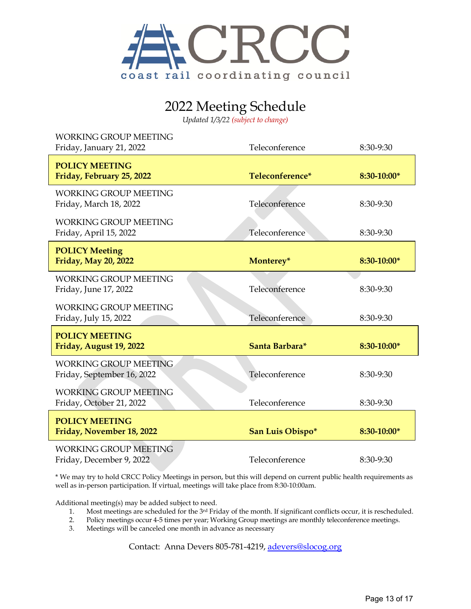

# 2022 Meeting Schedule

*Updated 1/3/22 (subject to change)*

| <b>WORKING GROUP MEETING</b><br>Friday, January 21, 2022   | Teleconference   | 8:30-9:30   |
|------------------------------------------------------------|------------------|-------------|
| <b>POLICY MEETING</b><br>Friday, February 25, 2022         | Teleconference*  | 8:30-10:00* |
| <b>WORKING GROUP MEETING</b><br>Friday, March 18, 2022     | Teleconference   | 8:30-9:30   |
| <b>WORKING GROUP MEETING</b><br>Friday, April 15, 2022     | Teleconference   | 8:30-9:30   |
| <b>POLICY Meeting</b><br>Friday, May 20, 2022              | Monterey*        | 8:30-10:00* |
| <b>WORKING GROUP MEETING</b><br>Friday, June 17, 2022      | Teleconference   | 8:30-9:30   |
| <b>WORKING GROUP MEETING</b><br>Friday, July 15, 2022      | Teleconference   | 8:30-9:30   |
| <b>POLICY MEETING</b><br>Friday, August 19, 2022           | Santa Barbara*   | 8:30-10:00* |
| <b>WORKING GROUP MEETING</b><br>Friday, September 16, 2022 | Teleconference   | 8:30-9:30   |
| <b>WORKING GROUP MEETING</b><br>Friday, October 21, 2022   | Teleconference   | 8:30-9:30   |
| <b>POLICY MEETING</b><br>Friday, November 18, 2022         | San Luis Obispo* | 8:30-10:00* |
| <b>WORKING GROUP MEETING</b><br>Friday, December 9, 2022   | Teleconference   | 8:30-9:30   |

\* We may try to hold CRCC Policy Meetings in person, but this will depend on current public health requirements as well as in-person participation. If virtual, meetings will take place from 8:30-10:00am.

Additional meeting(s) may be added subject to need.

- 1. Most meetings are scheduled for the 3rd Friday of the month. If significant conflicts occur, it is rescheduled.
- 2. Policy meetings occur 4-5 times per year; Working Group meetings are monthly teleconference meetings.
- 3. Meetings will be canceled one month in advance as necessary

Contact: Anna Devers 805-781-4219, [adevers@slocog.org](mailto:adevers@slocog.org)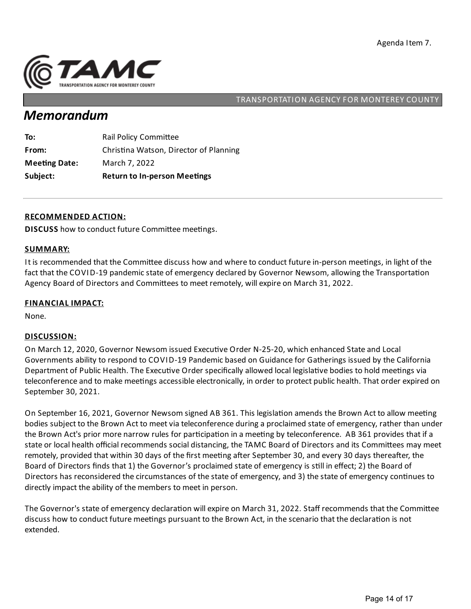

# *Memorandum*

| Subject:             | <b>Return to In-person Meetings</b>    |
|----------------------|----------------------------------------|
| <b>Meeting Date:</b> | March 7, 2022                          |
| From:                | Christina Watson, Director of Planning |
| To:                  | <b>Rail Policy Committee</b>           |

#### **RECOMMENDED ACTION:**

**DISCUSS** how to conduct future Committee meetings.

#### **SUMMARY:**

It is recommended that the Committee discuss how and where to conduct future in-person meetings, in light of the fact that the COVID-19 pandemic state of emergency declared by Governor Newsom, allowing the Transportation Agency Board of Directors and Committees to meet remotely, will expire on March 31, 2022.

#### **FINANCIAL IMPACT:**

None.

#### **DISCUSSION:**

On March 12, 2020, Governor Newsom issued Executive Order N-25-20, which enhanced State and Local Governments ability to respond to COVID-19 Pandemic based on Guidance for Gatherings issued by the California Department of Public Health. The Executive Order specifically allowed local legislative bodies to hold meetings via teleconference and to make meetings accessible electronically, in order to protect public health. That order expired on September 30, 2021.

On September 16, 2021, Governor Newsom signed AB 361. This legislation amends the Brown Act to allow meeting bodies subject to the Brown Act to meet via teleconference during a proclaimed state of emergency, rather than under the Brown Act's prior more narrow rules for participation in a meeting by teleconference. AB 361 provides that if a state or local health official recommends social distancing, the TAMC Board of Directors and its Committees may meet remotely, provided that within 30 days of the first meeting after September 30, and every 30 days thereafter, the Board of Directors finds that 1) the Governor's proclaimed state of emergency is still in effect; 2) the Board of Directors has reconsidered the circumstances of the state of emergency, and 3) the state of emergency continues to directly impact the ability of the members to meet in person.

The Governor's state of emergency declaration will expire on March 31, 2022. Staff recommends that the Committee discuss how to conduct future meetings pursuant to the Brown Act, in the scenario that the declaration is not extended.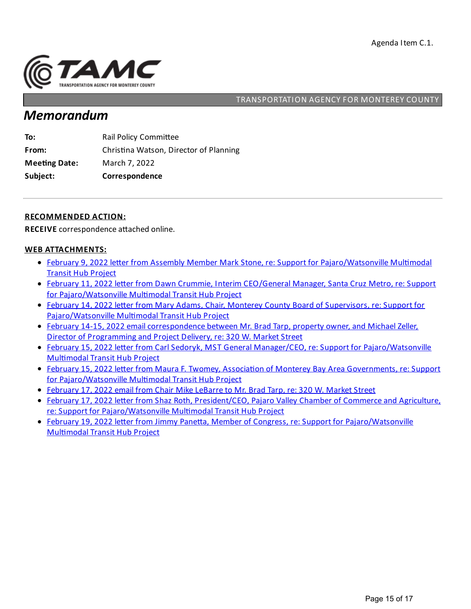

# *Memorandum*

| Subject:             | Correspondence                         |
|----------------------|----------------------------------------|
| <b>Meeting Date:</b> | March 7, 2022                          |
| From:                | Christina Watson, Director of Planning |
| To:                  | <b>Rail Policy Committee</b>           |

#### **RECOMMENDED ACTION:**

**RECEIVE** correspondence attached online.

#### **WEB ATTACHMENTS:**

- February 9, 2022 letter from Assembly Member Mark Stone, re: Support for [Pajaro/Watsonville](https://tamcmonterey.sharepoint.com/:b:/g/EcJrh4Fqw3VGqk9MZSclEEcBtOaCfBoH8YMl-WH2Ji3MmQ?e=lMcctK) Multimodal Transit Hub Project
- February 11, 2022 letter from Dawn Crummie, Interim CEO/General Manager, Santa Cruz Metro, re: Support for [Pajaro/Watsonville](https://tamcmonterey.sharepoint.com/:b:/g/Eci8tnCHoHBMr0mc1Exn6LwBiAWRxNlJaqP3TbXG60fHog?e=Tn6Xvj) Multimodal Transit Hub Project
- February 14, 2022 letter from Mary Adams, Chair, Monterey County Board of Supervisors, re: Support for [Pajaro/Watsonville](https://tamcmonterey.sharepoint.com/:b:/g/EX4NO8qzW_BDp2nGVK0VpPEB5mIuPo8UL9XbkwiLLgfV0g?e=EJ8sft) Multimodal Transit Hub Project
- February 14-15, 2022 email correspondence between Mr. Brad Tarp, property owner, and Michael Zeller, Director of Programming and Project Delivery, re: 320 W. Market Street
- February 15, 2022 letter from Carl Sedoryk, MST General Manager/CEO, re: Support for [Pajaro/Watsonville](https://tamcmonterey.sharepoint.com/:b:/g/ESP5S5jZFslIgepSONPEsOUBI2pqUfPj_rvNrLnETSTTSg?e=PPNBD8) **Multimodal Transit Hub Project**
- February 15, 2022 letter from Maura F. Twomey, Association of Monterey Bay Area Governments, re: Support for [Pajaro/Watsonville](https://tamcmonterey.sharepoint.com/:b:/g/EW8dnsHd1NFNkcwfvJ_mbvcBbk1SvBJzjiqPqjwMYypdBA?e=uYUGUL) Multimodal Transit Hub Project
- February 17, 2022 email from Chair Mike LeBarre to Mr. Brad Tarp, re: 320 W. Market Street
- February 17, 2022 letter from Shaz Roth, President/CEO, Pajaro Valley Chamber of Commerce and Agriculture, re: Support for [Pajaro/Watsonville](https://tamcmonterey.sharepoint.com/:b:/g/EaoNjmZebe9HkYceB6IPgvoBNAKipkMU7l9hxcCLOq907w?e=XO0S5p) Multimodal Transit Hub Project
- February 19, 2022 letter from Jimmy Panetta, Member of Congress, re: Support for [Pajaro/Watsonville](https://tamcmonterey.sharepoint.com/:b:/g/Ec6heoeEYgpOt_ATvpZjGe4B4RGRcUe_QbeoV3xeFIM_Mw?e=oAHpqg) **Multimodal Transit Hub Project**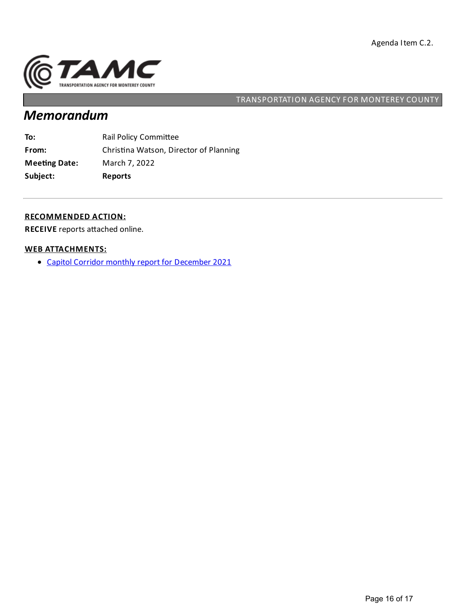

# *Memorandum*

| To:                  | <b>Rail Policy Committee</b>           |
|----------------------|----------------------------------------|
| From:                | Christina Watson, Director of Planning |
| <b>Meeting Date:</b> | March 7, 2022                          |
| Subject:             | <b>Reports</b>                         |

#### **RECOMMENDED ACTION:**

**RECEIVE** reports attached online.

#### **WEB ATTACHMENTS:**

Capitol Corridor monthly report for [December](https://tamcmonterey.sharepoint.com/:b:/g/EcMu56cvT_RFkVr-lXYsMR8BCna-_Yscd4CqjIFK6MIwuQ?e=jG6B6f) 2021